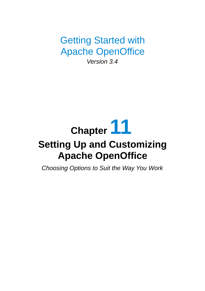# Getting Started with Apache OpenOffice

*Version 3.4*

# **Chapter 11 Setting Up and Customizing Apache OpenOffice**

*Choosing Options to Suit the Way You Work*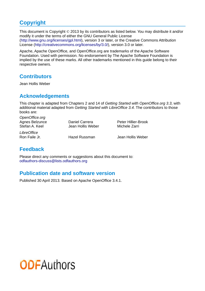# <span id="page-1-0"></span>**Copyright**

This document is Copyright © 2013 by its contributors as listed below. You may distribute it and/or modify it under the terms of either the GNU General Public License [\(http://www.gnu.org/licenses/gpl.html\)](http://www.gnu.org/licenses/gpl.html), version 3 or later, or the Creative Commons Attribution License [\(http://creativecommons.org/licenses/by/3.0/\)](http://creativecommons.org/licenses/by/3.0/), version 3.0 or later.

Apache, Apache OpenOffice, and OpenOffice.org are trademarks of the Apache Software Foundation. Used with permission. No endorsement by The Apache Software Foundation is implied by the use of these marks. All other trademarks mentioned in this guide belong to their respective owners.

# **Contributors**

Jean Hollis Weber

# **Acknowledgements**

This chapter is adapted from Chapters 2 and 14 of *Getting Started with OpenOffice.org 3.3*, with additional material adapted from *Getting Started with LibreOffice 3.4*. The contributors to those books are:

| OpenOffice.org |                   |                     |
|----------------|-------------------|---------------------|
| Agnes Belzunce | Daniel Carrera    | Peter Hillier-Brook |
| Stefan A. Keel | Jean Hollis Weber | Michele Zarri       |
| LibreOffice    |                   |                     |
| Ron Faile Jr.  | Hazel Russman     | Jean Hollis Weber   |

# **Feedback**

Please direct any comments or suggestions about this document to: [odfauthors-discuss@lists.odfauthors.org](mailto:odfauthors-discuss@lists.odfauthors.org)

# **Publication date and software version**

Published 30 April 2013. Based on Apache OpenOffice 3.4.1.

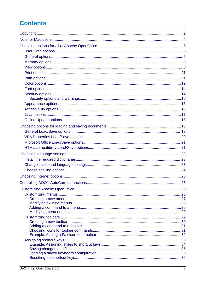# **Contents**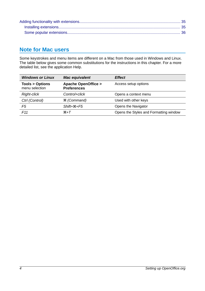# <span id="page-3-0"></span>**Note for Mac users**

Some keystrokes and menu items are different on a Mac from those used in Windows and Linux. The table below gives some common substitutions for the instructions in this chapter. For a more detailed list, see the application Help.

| <b>Windows or Linux</b>                     | <b>Mac equivalent</b>                               | <b>Effect</b>                          |
|---------------------------------------------|-----------------------------------------------------|----------------------------------------|
| <b>Tools &gt; Options</b><br>menu selection | <b>Apache OpenOffice &gt;</b><br><b>Preferences</b> | Access setup options                   |
| <b>Right-click</b>                          | Control+click                                       | Opens a context menu                   |
| Ctrl (Control)                              | ิ <b>\</b> (Command)                                | Used with other keys                   |
| F5                                          | $Shift+$ $#$ + $F5$                                 | Opens the Navigator                    |
| F <sub>11</sub>                             | $\mathcal{H} + \mathcal{T}$                         | Opens the Styles and Formatting window |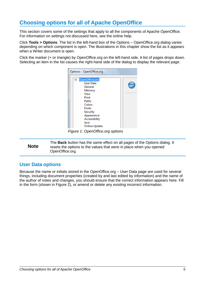# <span id="page-4-1"></span>**Choosing options for all of Apache OpenOffice**

This section covers some of the settings that apply to all the components of Apache OpenOffice. For information on settings not discussed here, see the online help.

Click **Tools > Options**. The list in the left-hand box of the Options – OpenOffice.org dialog varies depending on which component is open. The illustrations in this chapter show the list as it appears when a Writer document is open.

Click the marker (+ or triangle) by OpenOffice.org on the left-hand side. A list of pages drops down. Selecting an item in the list causes the right-hand side of the dialog to display the relevant page.



*Figure 1: OpenOffice.org options*

```
Note
 The Back button has the same effect on all pages of the Options dialog. It 
 resets the options to the values that were in place when you opened 
 OpenOffice.org.
```
# <span id="page-4-0"></span>**User Data options**

Because the name or initials stored in the OpenOffice.org – User Data page are used for several things, including document properties (created by and last edited by information) and the name of the author of notes and changes, you should ensure that the correct information appears here. Fill in the form (shown in [Figure 2\)](#page-5-1), or amend or delete any existing incorrect information.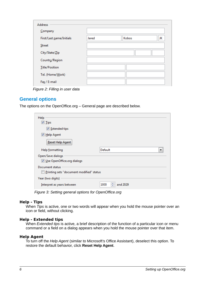| <b>Address</b>           |       |       |    |
|--------------------------|-------|-------|----|
| Company                  |       |       |    |
| First/Last name/Initials | Jared | Kobos | JК |
| Street                   |       |       |    |
| City/State/Zip           |       |       |    |
| Country/Region           |       |       |    |
| <b>Title/Position</b>    |       |       |    |
| Tel. (Home/Work)         |       |       |    |
| Fax / E-mail             |       |       |    |

<span id="page-5-1"></span>*Figure 2: Filling in user data*

# <span id="page-5-0"></span>**General options**

The options on the OpenOffice.org – General page are described below.

| Help<br>$\nabla$ Tips                                       |                       |
|-------------------------------------------------------------|-----------------------|
| Extended tips                                               |                       |
| Help Agent                                                  |                       |
| Reset Help Agent                                            |                       |
| Help formatting                                             | Default               |
| Open/Save dialogs<br>Use OpenOffice.org dialogs             |                       |
| Document status<br>Printing sets "document modified" status |                       |
| Year (two digits)                                           |                       |
| Interpret as years between                                  | ÷<br>1930<br>and 2029 |

*Figure 3: Setting general options for OpenOffice.org*

# **Help - Tips**

When *Tips* is active, one or two words will appear when you hold the mouse pointer over an icon or field, without clicking.

# **Help - Extended tips**

When *Extended tips* is active, a brief description of the function of a particular icon or menu command or a field on a dialog appears when you hold the mouse pointer over that item.

#### **Help Agent**

To turn off the *Help Agent* (similar to Microsoft's Office Assistant), deselect this option. To restore the default behavior, click **Reset Help Agent**.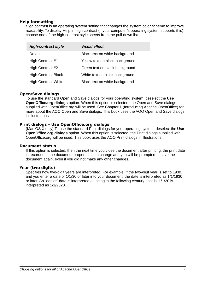### **Help formatting**

*High contrast* is an operating system setting that changes the system color scheme to improve readability. To display Help in high contrast (if your computer's operating system supports this), choose one of the high-contrast style sheets from the pull-down list.

| <b>High-contrast style</b> | <b>Visual effect</b>            |
|----------------------------|---------------------------------|
| Default                    | Black text on white background  |
| High Contrast #1           | Yellow text on black background |
| High Contrast #2           | Green text on black background  |
| <b>High Contrast Black</b> | White text on black background  |
| <b>High Contrast White</b> | Black text on white background  |

### **Open/Save dialogs**

To use the standard Open and Save dialogs for your operating system, deselect the **Use OpenOffice.org dialogs** option. When this option is selected, the Open and Save dialogs supplied with OpenOffice.org will be used. See Chapter 1 (Introducing Apache OpenOffice) for more about the AOO Open and Save dialogs. This book uses the AOO Open and Save dialogs in illustrations.

### **Print dialogs – Use OpenOffice.org dialogs**

(Mac OS X only) To use the standard Print dialogs for your operating system, deselect the **Use OpenOffice.org dialogs** option. When this option is selected, the Print dialogs supplied with OpenOffice.org will be used. This book uses the AOO Print dialogs in illustrations.

#### **Document status**

If this option is selected, then the next time you close the document after printing, the print date is recorded in the document properties as a change and you will be prompted to save the document again, even if you did not make any other changes.

#### **Year (two digits)**

Specifies how two-digit years are interpreted. For example, if the two-digit year is set to 1930, and you enter a date of 1/1/30 or later into your document, the date is interpreted as 1/1/1930 or later. An "earlier" date is interpreted as being in the following century; that is, 1/1/20 is interpreted as 1/1/2020.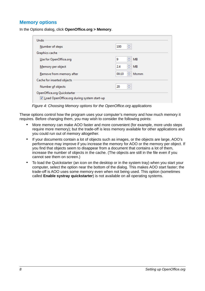# <span id="page-7-0"></span>**Memory options**

In the Options dialog, click **OpenOffice.org > Memory**.

| Undo<br>Number of steps                                                     | ÷<br>100              |
|-----------------------------------------------------------------------------|-----------------------|
| Graphics cache                                                              |                       |
| Use for OpenOffice.org                                                      | ÷<br>9<br>MB          |
| Memory per object                                                           | ÷<br><b>MB</b><br>2.4 |
| Remove from memory after                                                    | ÷<br>00:10<br>hh:mm   |
| Cache for inserted objects                                                  |                       |
| Number of objects                                                           | ÷<br>20               |
| OpenOffice.org Quickstarter<br>U Load OpenOffice.org during system start-up |                       |

*Figure 4: Choosing Memory options for the OpenOffice.org applications*

These options control how the program uses your computer's memory and how much memory it requires. Before changing them, you may wish to consider the following points:

- More memory can make AOO faster and more convenient (for example, more undo steps require more memory); but the trade-off is less memory available for other applications and you could run out of memory altogether.
- If your documents contain a lot of objects such as images, or the objects are large, AOO's performance may improve if you increase the memory for AOO or the memory per object. If you find that objects seem to disappear from a document that contains a lot of them, increase the number of objects in the cache. (The objects are still in the file even if you cannot see them on screen.)
- To load the Quickstarter (an icon on the desktop or in the system tray) when you start your computer, select the option near the bottom of the dialog. This makes AOO start faster; the trade-off is AOO uses some memory even when not being used. This option (sometimes called **Enable systray quickstarter**) is not available on all operating systems.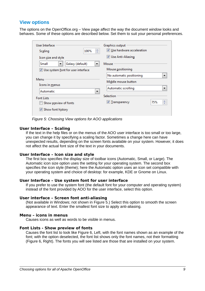# <span id="page-8-0"></span>**View options**

The options on the OpenOffice.org – View page affect the way the document window looks and behaves. Some of these options are described below. Set them to suit your personal preferences.

| User Interface<br>÷<br>100%<br><b>Scaling</b> | Graphics output<br>V Use hardware acceleration |
|-----------------------------------------------|------------------------------------------------|
| Icon size and style                           | V Use Anti-Aliasing                            |
| Galaxy (default)<br>Small                     | Mouse                                          |
| V Use system font for user interface          | Mouse positioning                              |
|                                               | No automatic positioning                       |
| Menu<br>Icons in menus                        | Middle mouse button<br>Automatic scrolling     |
| Automatic<br>▼                                |                                                |
| <b>Font Lists</b>                             | Selection                                      |
| Show preview of fonts                         | ÷<br>$\sqrt{ }$ Transparency<br>75%            |
| V Show font history                           |                                                |

<span id="page-8-1"></span>*Figure 5: Choosing View options for AOO applications*

#### **User Interface – Scaling**

If the text in the help files or on the menus of the AOO user interface is too small or too large, you can change it by specifying a scaling factor. Sometimes a change here can have unexpected results, depending on the screen fonts available on your system. However, it does not affect the actual font size of the text in your documents.

#### **User Interface – Icon size and style**

The first box specifies the display size of toolbar icons (Automatic, Small, or Large). The Automatic icon size option uses the setting for your operating system. The second box specifies the icon style (theme); here the Automatic option uses an icon set compatible with your operating system and choice of desktop: for example, KDE or Gnome on Linux.

#### **User Interface – Use system font for user interface**

If you prefer to use the system font (the default font for your computer and operating system) instead of the font provided by AOO for the user interface, select this option.

#### **User interface – Screen font anti-aliasing**

(Not available in Windows; not shown in [Figure 5.](#page-8-1)) Select this option to smooth the screen appearance of text. Enter the smallest font size to apply anti-aliasing.

#### **Menu – icons in menus**

Causes icons as well as words to be visible in menus.

#### **Font Lists - Show preview of fonts**

Causes the font list to look like [Figure 6,](#page-9-0) Left, with the font names shown as an example of the font; with the option deselected, the font list shows only the font names, not their formatting [\(Figure 6,](#page-9-0) Right). The fonts you will see listed are those that are installed on your system.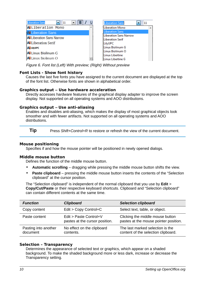

*Figure 6. Font list (Left) With preview; (Right) Without preview*

### **Font Lists - Show font history**

<span id="page-9-0"></span>Causes the last five fonts you have assigned to the current document are displayed at the top of the font list. Otherwise fonts are shown in alphabetical order.

### **Graphics output – Use hardware acceleration**

Directly accesses hardware features of the graphical display adapter to improve the screen display. Not supported on all operating systems and AOO distributions.

### **Graphics output – Use anti-aliasing**

Enables and disables anti-aliasing, which makes the display of most graphical objects look smoother and with fewer artifacts. Not supported on all operating systems and AOO distributions.

**Tip** Press *Shift+Control+R* to restore or refresh the view of the current document.

### **Mouse positioning**

Specifies if and how the mouse pointer will be positioned in newly opened dialogs.

#### **Middle mouse button**

Defines the function of the middle mouse button.

- **Automatic scrolling** dragging while pressing the middle mouse button shifts the view.
- **Paste clipboard** pressing the middle mouse button inserts the contents of the "Selection clipboard" at the cursor position.

The "Selection clipboard" is independent of the normal clipboard that you use by **Edit** > **Copy/Cut/Paste** or their respective keyboard shortcuts. Clipboard and "Selection clipboard" can contain different contents at the same time.

| <b>Function</b>                  | <b>Clipboard</b>                                         | <b>Selection clipboard</b>                                                |
|----------------------------------|----------------------------------------------------------|---------------------------------------------------------------------------|
| Copy content                     | Edit > Copy Control+C                                    | Select text, table, or object.                                            |
| Paste content                    | Edit > Paste Control+V<br>pastes at the cursor position. | Clicking the middle mouse button<br>pastes at the mouse pointer position. |
| Pasting into another<br>document | No effect on the clipboard<br>contents.                  | The last marked selection is the<br>content of the selection clipboard.   |

# **Selection – Transparency**

Determines the appearance of selected text or graphics, which appear on a shaded background. To make the shaded background more or less dark, increase or decrease the Transparency setting.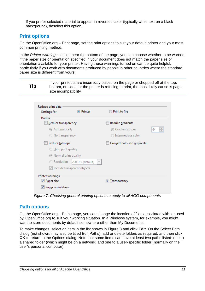If you prefer selected material to appear in reversed color (typically white text on a black background), deselect this option.

# <span id="page-10-1"></span>**Print options**

On the OpenOffice.org – Print page, set the print options to suit your default printer and your most common printing method.

In the *Printer warnings* section near the bottom of the page, you can choose whether to be warned if the paper size or orientation specified in your document does not match the paper size or orientation available for your printer. Having these warnings turned on can be quite helpful, particularly if you work with documents produced by people in other countries where the standard paper size is different from yours.

| -<br>× |
|--------|
|--------|

If your printouts are incorrectly placed on the page or chopped off at the top, bottom, or sides, or the printer is refusing to print, the most likely cause is page size incompatibility.

| Settings for           | <b>O</b> Printer              | Print to file               |                                |
|------------------------|-------------------------------|-----------------------------|--------------------------------|
| Printer                |                               |                             |                                |
| Reduce transparency    |                               | Reduce gradients            |                                |
| ◎ Automatically        |                               | ◎ Gradient stripes          | $\frac{\triangle}{\tau}$<br>64 |
| ◯ No transparency      |                               | O Intermediate color        |                                |
| Reduce bitmaps         |                               | Convert colors to grayscale |                                |
| Eigh print quality     |                               |                             |                                |
| © Normal print quality |                               |                             |                                |
| Resolution             | 200 DPI (default)             | $\overline{\mathcal{M}}$    |                                |
|                        | √ Include transparent objects |                             |                                |
| Printer warnings       |                               |                             |                                |
| Paper size             |                               | $\nabla$ Transparency       |                                |

*Figure 7: Choosing general printing options to apply to all AOO components*

# <span id="page-10-0"></span>**Path options**

On the OpenOffice.org – Paths page, you can change the location of files associated with, or used by, OpenOffice.org to suit your working situation. In a Windows system, for example, you might want to store documents by default somewhere other than My Documents.

To make changes, select an item in the list shown in [Figure 8](#page-11-1) and click **Edit**. On the Select Path dialog (not shown; may also be titled Edit Paths), add or delete folders as required, and then click **OK** to return to the Options dialog. Note that some items can have at least two paths listed: one to a shared folder (which might be on a network) and one to a user-specific folder (normally on the user's personal computer).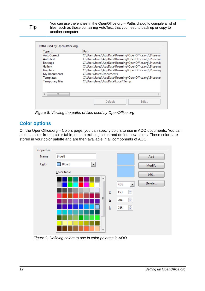**Tip**

You can use the entries in the OpenOffice.org – Paths dialog to compile a list of files, such as those containing AutoText, that you need to back up or copy to another computer.

| Type $\triangle$                      | Path                                                                                                                                                                       |
|---------------------------------------|----------------------------------------------------------------------------------------------------------------------------------------------------------------------------|
| <b>AutoCorrect</b><br>AutoText        | C:\Users\Jared\AppData\Roaming\OpenOffice.org\3\user\a<br>C:\Users\Jared\AppData\Roaming\OpenOffice.org\3\user\al                                                          |
| <b>Backups</b><br>Gallery<br>Graphics | C:\Users\Jared\AppData\Roaming\OpenOffice.org\3\user\b<br>C:\Users\Jared\AppData\Roaming\OpenOffice.org\3\user\g<br>C:\Users\Jared\AppData\Roaming\OpenOffice.org\3\user\g |
|                                       |                                                                                                                                                                            |
|                                       | C:\Users\Jared\Documents                                                                                                                                                   |
| My Documents<br><b>Templates</b>      | C:\Users\Jared\AppData\Roaming\OpenOffice.org\3\user\ti                                                                                                                    |
| Temporary files                       | C:\Users\Jared\AppData\Local\Temp                                                                                                                                          |
| ш<br>∢                                |                                                                                                                                                                            |

<span id="page-11-1"></span>*Figure 8: Viewing the paths of files used by OpenOffice.org* 

# <span id="page-11-0"></span>**Color options**

On the OpenOffice.org – Colors page, you can specify colors to use in AOO documents. You can select a color from a color table, edit an existing color, and define new colors. These colors are stored in your color palette and are then available in all components of AOO.



<span id="page-11-2"></span>*Figure 9: Defining colors to use in color palettes in AOO*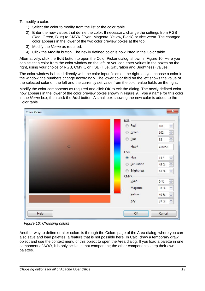To modify a color:

- 1) Select the color to modify from the list or the color table.
- 2) Enter the new values that define the color. If necessary, change the settings from RGB (Red, Green, Blue) to CMYK (Cyan, Magenta, Yellow, Black) or vice versa. The changed color appears in the lower of the two color preview boxes at the top.
- 3) Modify the *Name* as required.
- 4) Click the **Modify** button. The newly defined color is now listed in the Color table.

Alternatively, click the **Edit** button to open the Color Picker dialog, shown in [Figure 10.](#page-12-0) Here you can select a color from the color window on the left; or you can enter values in the boxes on the right, using your choice of RGB, CMYK, or HSB (Hue, Saturation and Brightness) values.

The color window is linked directly with the color input fields on the right; as you choose a color in the window, the numbers change accordingly. The lower color field on the left shows the value of the selected color on the left and the currently set value from the color value fields on the right.

Modify the color components as required and click **OK** to exit the dialog. The newly defined color now appears in the lower of the color preview boxes shown in [Figure 9.](#page-11-2) Type a name for this color in the *Name* box, then click the **Add** button. A small box showing the new color is added to the Color table.



*Figure 10: Choosing colors*

<span id="page-12-0"></span>Another way to define or alter colors is through the Colors page of the Area dialog, where you can also save and load palettes, a feature that is not possible here. In Calc, draw a temporary draw object and use the context menu of this object to open the Area dialog. If you load a palette in one component of AOO, it is only active in that component; the other components keep their own palettes.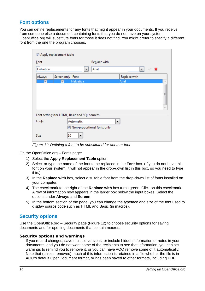# <span id="page-13-1"></span>**Font options**

You can define replacements for any fonts that might appear in your documents. If you receive from someone else a document containing fonts that you do not have on your system, OpenOffice.org will substitute fonts for those it does not find. You might prefer to specify a different font from the one the program chooses.

| <b>Font</b>      |                          |                                               | Replace with |              |             |        |
|------------------|--------------------------|-----------------------------------------------|--------------|--------------|-------------|--------|
| <b>Helvetica</b> |                          | ▼                                             | Arial        |              | ×<br>Í<br>۰ |        |
| Always           | Screen only Font         |                                               |              | Replace with |             |        |
| √                | $\overline{\mathcal{A}}$ | Helvetica                                     |              | Arial        |             | ┻      |
|                  |                          |                                               |              |              |             |        |
|                  |                          |                                               |              |              |             | Ξ<br>┯ |
|                  |                          | Font settings for HTML, Basic and SQL sources |              |              |             |        |
|                  |                          | Automatic                                     |              | ▼            |             |        |
| Fonts            |                          | Mon-proportional fonts only                   |              |              |             |        |

*Figure 11: Defining a font to be substituted for another font*

On the OpenOffice.org – Fonts page:

- 1) Select the **Apply Replacement Table** option.
- 2) Select or type the name of the font to be replaced in the **Font** box. (If you do not have this font on your system, it will not appear in the drop-down list in this box, so you need to type it in.)
- 3) In the **Replace with** box, select a suitable font from the drop-down list of fonts installed on your computer.
- 4) The checkmark to the right of the **Replace with** box turns green. Click on this checkmark. A row of information now appears in the larger box below the input boxes. Select the options under **Always** and **Screen**.
- 5) In the bottom section of the page, you can change the typeface and size of the font used to display source code such as HTML and Basic (in macros).

# <span id="page-13-0"></span>**Security options**

Use the OpenOffice.org – Security page [\(Figure 12\)](#page-14-1) to choose security options for saving documents and for opening documents that contain macros.

# **Security options and warnings**

If you record changes, save multiple versions, or include hidden information or notes in your documents, and you do not want some of the recipients to see that information, you can set warnings to remind you to remove it, or you can have AOO remove some of it automatically. Note that (unless removed) much of this information is retained in a file whether the file is in AOO's default OpenDocument format, or has been saved to other formats, including PDF.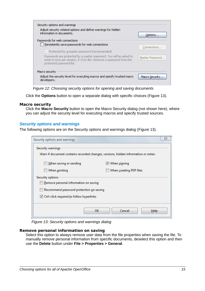

*Figure 12: Choosing security options for opening and saving documents*

<span id="page-14-1"></span>Click the **Options** button to open a separate dialog with specific choices [\(Figure 13\)](#page-14-2).

# **Macro security**

Click the **Macro Security** button to open the Macro Security dialog (not shown here), where you can adjust the security level for executing macros and specify trusted sources.

# <span id="page-14-0"></span>*Security options and warnings*

The following options are on the Security options and warnings dialog [\(Figure 13\)](#page-14-2).

| Security options and warnings                                                      | X |  |  |  |
|------------------------------------------------------------------------------------|---|--|--|--|
| Security warnings                                                                  |   |  |  |  |
| Warn if document contains recorded changes, versions, hidden information or notes: |   |  |  |  |
| <b>√</b> When signing<br>When saving or sending                                    |   |  |  |  |
| When printing<br>When creating PDF files                                           |   |  |  |  |
| Security options                                                                   |   |  |  |  |
| Remove personal information on saving                                              |   |  |  |  |
| Recommend password protection on saving                                            |   |  |  |  |
| Ctrl-click required to follow hyperlinks                                           |   |  |  |  |
|                                                                                    |   |  |  |  |
| ОΚ<br>Cancel<br>Help                                                               |   |  |  |  |

<span id="page-14-2"></span>*Figure 13: Security options and warnings dialog*

# **Remove personal information on saving**

Select this option to always remove user data from the file properties when saving the file. To manually remove personal information from specific documents, deselect this option and then use the **Delete** button under **File > Properties > General**.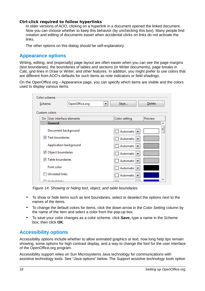# **Ctrl-click required to follow hyperlinks**

In older versions of AOO, clicking on a hyperlink in a document opened the linked document. Now you can choose whether to keep this behavior (by unchecking this box). Many people find creation and editing of documents easier when accidental clicks on links do not activate the links.

The other options on this dialog should be self-explanatory.

# <span id="page-15-1"></span>**Appearance options**

Writing, editing, and (especially) page layout are often easier when you can see the page margins (text boundaries), the boundaries of tables and sections (in Writer documents), page breaks in Calc, grid lines in Draw or Writer, and other features. In addition, you might prefer to use colors that are different from AOO's defaults for such items as note indicators or field shadings.

On the OpenOffice.org – Appearance page, you can specify which items are visible and the colors used to display various items.

| Color scheme<br>Scheme | OpenOffice.org             | Save          | <b>Delete</b> |
|------------------------|----------------------------|---------------|---------------|
| Custom colors          |                            |               |               |
|                        | On User interface elements | Color setting | Preview       |
| General                |                            |               | ∸             |
|                        | Document background        | Automatic     | Ξ             |
| V Text boundaries      |                            | Automatic     |               |
|                        | Application background     | Automatic     |               |
|                        | Object boundaries          |               |               |
|                        | V Table boundaries         |               |               |
| Font color             |                            | Automatic     |               |
| <b>Unvisited links</b> |                            | Automatic     |               |
| <b>Micitaal links</b>  |                            | ┍             |               |

*Figure 14: Showing or hiding text, object, and table boundaries*

- To show or hide items such as text boundaries, select or deselect the options next to the names of the items.
- To change the default colors for items, click the down-arrow in the *Color Setting* column by the name of the item and select a color from the pop-up box.
- To save your color changes as a color scheme, click **Save,** type a name in the *Scheme* box; then click **OK**.

# <span id="page-15-0"></span>**Accessibility options**

Accessibility options include whether to allow animated graphics or text, how long help tips remain showing, some options for high contrast display, and a way to change the font for the user interface of the OpenOffice.org program.

Accessibility support relies on Sun Microsystems Java technology for communications with assistive technology tools. See ["Java options"](#page-16-0) below. The *Support assistive technology tools* option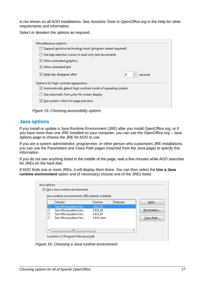is not shown on all AOO installations. See *Assistive Tools in OpenOffice.org* in the Help for other requirements and information.

Select or deselect the options as required.

| Miscellaneous options<br>Support assistive technology tools (program restart required)<br>Use text selection cursor in read-only text documents<br>Allow animated graphics |              |
|----------------------------------------------------------------------------------------------------------------------------------------------------------------------------|--------------|
| Allow animated text<br>Help tips disappear after<br>Options for high contrast appearance                                                                                   | 4<br>seconds |
| $\forall$ Automatically detect high contrast mode of operating system<br>Use automatic font color for screen display<br>Use system colors for page previews                |              |
|                                                                                                                                                                            |              |

*Figure 15: Choosing accessibility options*

# <span id="page-16-0"></span>**Java options**

If you install or update a Java Runtime Environment (JRE) after you install OpenOffice.org, or if you have more than one JRE installed on your computer, you can use the OpenOffice.org – Java options page to choose the JRE for AOO to use.

If you are a system administrator, programmer, or other person who customizes JRE installations, you can use the Parameters and Class Path pages (reached from the Java page) to specify this information.

If you do not see anything listed in the middle of the page, wait a few minutes while AOO searches for JREs on the hard disk.

If AOO finds one or more JREs, it will display them there. You can then select the **Use a Java runtime environment** option and (if necessary) choose one of the JREs listed.

|                       | <b>Version</b>                                                          | <b>Features</b> | Add        |
|-----------------------|-------------------------------------------------------------------------|-----------------|------------|
| Sun Microsystems Inc. | 1.6.0 21                                                                |                 |            |
|                       | 1.6.0 18                                                                |                 | Parameters |
|                       | 1.6.0 07                                                                |                 |            |
|                       | $1.6.0$ -oem                                                            |                 | Class Path |
|                       | Sun Microsystems Inc.<br>Sun Microsystems Inc.<br>Sun Microsystems Inc. |                 |            |

*Figure 16: Choosing a Java runtime environment*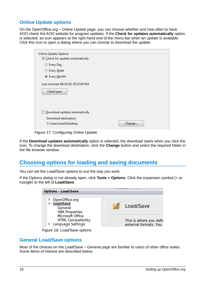# <span id="page-17-2"></span>**Online Update options**

On the OpenOffice.org – Online Update page, you can choose whether and how often to have AOO check the AOO website for program updates. If the **Check for updates automatically** option is selected, an icon appears at the right-hand end of the menu bar when an update is available. Click this icon to open a dialog where you can choose to download the update.

| <b>Online Update Options</b><br>Check for updates automatically |        |
|-----------------------------------------------------------------|--------|
| <b>Every Day</b>                                                |        |
| Every Week                                                      |        |
| ◎ Every Month                                                   |        |
| Last checked: 08/25/10, 05:27:00 PM                             |        |
| Check now                                                       |        |
|                                                                 |        |
|                                                                 |        |
| Download updates automatically                                  |        |
| Download destination:                                           |        |
| C:\Users\Jared\Desktop                                          | Change |

*Figure 17: Configuring Online Update*

If the **Download updates automatically** option is selected, the download starts when you click the icon. To change the download destination, click the **Change** button and select the required folder in the file browser window.

# <span id="page-17-1"></span>**Choosing options for loading and saving documents**

You can set the Load/Save options to suit the way you work.

If the Options dialog is not already open, click **Tools > Options**. Click the expansion symbol (+ or triangle) to the left of **Load/Save**.

| <b>Options - Load/Save</b>                                                  |                                                  |
|-----------------------------------------------------------------------------|--------------------------------------------------|
| OpenOffice.org<br>D<br>Load/Save<br>General<br><b>VBA Properties</b>        | Load/Save                                        |
| <b>Microsoft Office</b><br><b>HTML Compatibility</b><br>▷ Language Settings | This is where you defir<br>external formats. You |
| Figure 18: Load/Save options                                                |                                                  |

# <span id="page-17-0"></span>**General Load/Save options**

Most of the choices on the Load/Save – General page are familiar to users of other office suites. Some items of interest are described below.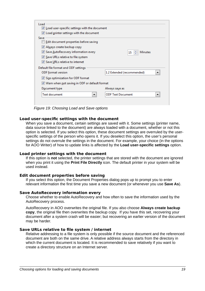| $\triangledown$ Load printer settings with the document | $\vee$ Load user-specific settings with the document |
|---------------------------------------------------------|------------------------------------------------------|
| Save<br>Edit document properties before saving          |                                                      |
| Always create backup copy                               |                                                      |
| ▽ Save AutoRecovery information every                   | <b>Minutes</b><br>÷<br>15                            |
| V Save URLs relative to file system                     |                                                      |
| Save URLs relative to internet                          |                                                      |
| Default file format and ODF settings                    |                                                      |
| ODF format version                                      | 1.2 Extended (recommended)                           |
| $\vee$ Size optimization for ODF format                 |                                                      |
|                                                         |                                                      |
| V Warn when not saving in ODF or default format         |                                                      |
| Document type                                           | Always save as                                       |

*Figure 19: Choosing Load and Save options*

### **Load user-specific settings with the document**

When you save a document, certain settings are saved with it. Some settings (printer name, data source linked to the document) are always loaded with a document, whether or not this option is selected. If you select this option, these document settings are overruled by the userspecific settings of the person who opens it. If you deselect this option, the user's personal settings do not overrule the settings in the document. For example, your choice (in the options for AOO Writer) of how to update links is affected by the **Load user-specific settings** option.

#### **Load printer settings with the document**

If this option is **not** selected, the printer settings that are stored with the document are ignored when you print it using the **Print File Directly** icon. The default printer in your system will be used instead.

#### **Edit document properties before saving**

If you select this option, the Document Properties dialog pops up to prompt you to enter relevant information the first time you save a new document (or whenever you use **Save As**).

#### **Save AutoRecovery information every**

Choose whether to enable AutoRecovery and how often to save the information used by the AutoRecovery process.

AutoRecovery in AOO overwrites the original file. If you also choose **Always create backup copy**, the original file then overwrites the backup copy. If you have this set, recovering your document after a system crash will be easier; but recovering an earlier version of the document may be harder.

#### **Save URLs relative to file system / internet**

Relative addressing to a file system is only possible if the source document and the referenced document are both on the same drive. A relative address always starts from the directory in which the current document is located. It is recommended to save relatively if you want to create a directory structure on an Internet server.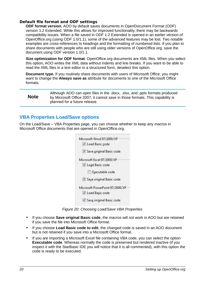# **Default file format and ODF settings**

**ODF format version.** AOO by default saves documents in OpenDocument Format (ODF) version 1.2 Extended. While this allows for improved functionality, there may be backwards compatibility issues. When a file saved in ODF 1.2 Extended is opened in an earlier version of OpenOffice.org (using ODF 1.0/1.1), some of the advanced features may be lost. Two notable examples are cross-references to headings and the formatting of numbered lists. If you plan to share documents with people who are still using older versions of OpenOffice.org, save the document using ODF version 1.0/1.1.

**Size optimization for ODF format**. OpenOffice.org documents are XML files. When you select this option, AOO writes the XML data without indents and line breaks. If you want to be able to read the XML files in a text editor in a structured form, deselect this option.

**Document type.** If you routinely share documents with users of Microsoft Office, you might want to change the **Always save as** attribute for documents to one of the Microsoft Office formats.

# <span id="page-19-0"></span>**VBA Properties Load/Save options**

On the Load/Save – VBA Properties page, you can choose whether to keep any macros in Microsoft Office documents that are opened in OpenOffice.org.



*Figure 20: Choosing Load/Save VBA Properties*

- If you choose **Save original Basic code**, the macros will not work in AOO but are retained if you save the file into Microsoft Office format.
- If you choose **Load Basic code to edit**, the changed code is saved in an AOO document but is not retained if you save into a Microsoft Office format.
- If you are importing a Microsoft Excel file containing VBA code, you can select the option **Executable code**. Whereas normally the code is preserved but rendered inactive (if you inspect it with the StarBasic IDE you will notice that it is all commented), with this option the code is ready to be executed.

**Note** Although AOO can open files in the .docx, .xlsx, and .pptx formats produced by Microsoft Office 2007, it cannot save in those formats. This capability is planned for a future release.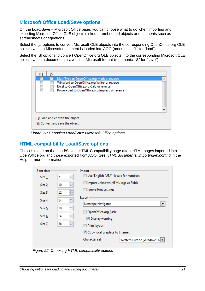# <span id="page-20-1"></span>**Microsoft Office Load/Save options**

On the Load/Save – Microsoft Office page, you can choose what to do when importing and exporting Microsoft Office OLE objects (linked or embedded objects or documents such as spreadsheets or equations).

Select the [L] options to convert Microsoft OLE objects into the corresponding OpenOffice.org OLE objects when a Microsoft document is loaded into AOO (mnemonic: "L" for "load").

Select the [S] options to convert OpenOffice.org OLE objects into the corresponding Microsoft OLE objects when a document is saved in a Microsoft format (mnemonic: "S" for "save").

| $[{\mathsf L}]$ | [S]                                                                  |                                                                                                                                           |  |
|-----------------|----------------------------------------------------------------------|-------------------------------------------------------------------------------------------------------------------------------------------|--|
|                 |                                                                      | MathType to OpenOffice.org Math or reverse                                                                                                |  |
|                 |                                                                      | WinWord to OpenOffice.org Writer or reverse<br>Excel to OpenOffice.org Calc or reverse<br>PowerPoint to OpenOffice.org Impress or reverse |  |
|                 | [L]: Load and convert the object<br>[S]: Convert and save the object |                                                                                                                                           |  |

*Figure 21: Choosing Load/Save Microsoft Office options*

# <span id="page-20-0"></span>**HTML compatibility Load/Save options**

Choices made on the Load/Save – HTML Compatibility page affect HTML pages imported into OpenOffice.org and those exported from AOO. See *HTML documents; importing/exporting* in the Help for more information.

| Font sizes |    |   | Import                                        |
|------------|----|---|-----------------------------------------------|
| Size 1     | 7  | ÷ | Use 'English (USA)' locale for numbers        |
| Size $2$   | 10 | ÷ | Import unknown HTML tags as fields            |
| Size 3     | 12 | ÷ | Ignore font settings                          |
| Size 4     | 14 | ÷ | Export<br>Netscape Navigator<br>▼             |
| Size 5     | 18 | ÷ | OpenOffice.org Basic                          |
| Size 6     | 24 | ÷ | Display warning                               |
| Size 7     | 36 | ÷ | Print layout                                  |
|            |    |   | Opy local graphics to Internet                |
|            |    |   | Character set<br>Western Europe (Windows-12 ▼ |

*Figure 22. Choosing HTML compatibility options*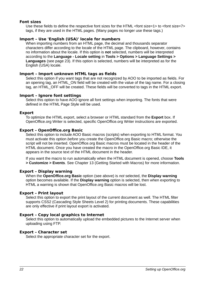### **Font sizes**

Use these fields to define the respective font sizes for the HTML <font size=1> to <font size=7> tags, if they are used in the HTML pages. (Many pages no longer use these tags.)

### **Import – Use 'English (USA)' locale for numbers**

When importing numbers from an HTML page, the decimal and thousands separator characters differ according to the locale of the HTML page. The clipboard, however, contains no information about the locale. If this option is **not** selected, numbers will be interpreted according to the **Language - Locale setting** in **Tools > Options > Language Settings > Languages** (see page [23\)](#page-22-0). If this option is selected, numbers will be interpreted as for the English (USA) locale.

#### **Import – Import unknown HTML tags as fields**

Select this option if you want tags that are not recognized by AOO to be imported as fields. For an opening tag, an HTML\_ON field will be created with the value of the tag name. For a closing tag, an HTML\_OFF will be created. These fields will be converted to tags in the HTML export.

### **Import – Ignore font settings**

Select this option to have AOO ignore all font settings when importing. The fonts that were defined in the HTML Page Style will be used.

#### **Export**

To optimize the HTML export, select a browser or HTML standard from the **Export** box. If OpenOffice.org Writer is selected, specific OpenOffice.org Writer instructions are exported.

### **Export – OpenOffice.org Basic**

Select this option to include AOO Basic macros (scripts) when exporting to HTML format. You must activate this option *before* you create the OpenOffice.org Basic macro; otherwise the script will not be inserted. OpenOffice.org Basic macros must be located in the header of the HTML document. Once you have created the macro in the OpenOffice.org Basic IDE, it appears in the source text of the HTML document in the header.

If you want the macro to run automatically when the HTML document is opened, choose **Tools > Customize > Events**. See Chapter 13 (Getting Started with Macros) for more information.

# **Export – Display warning**

When the **OpenOffice.org Basic** option (see above) is *not* selected, the **Display warning** option becomes available. If the **Display warning** option is selected, then when exporting to HTML a warning is shown that OpenOffice.org Basic macros will be lost.

### **Export – Print layout**

Select this option to export the print layout of the current document as well. The HTML filter supports CSS2 (Cascading Style Sheets Level 2) for printing documents. These capabilities are only effective if print layout export is activated.

# **Export – Copy local graphics to Internet**

Select this option to automatically upload the embedded pictures to the Internet server when uploading using FTP.

#### **Export – Character set**

Select the appropriate character set for the export.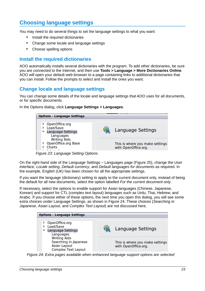# <span id="page-22-2"></span>**Choosing language settings**

You may need to do several things to set the language settings to what you want:

- Install the required dictionaries
- Change some locale and language settings
- Choose spelling options

# <span id="page-22-1"></span>**Install the required dictionaries**

AOO automatically installs several dictionaries with the program. To add other dictionaries, be sure you are connected to the Internet, and then use **Tools > Language > More Dictionaries Online**. AOO will open your default web browser to a page containing links to additional dictionaries that you can install. Follow the prompts to select and install the ones you want.

# <span id="page-22-0"></span>**Change locale and language settings**

You can change some details of the locale and language settings that AOO uses for all documents, or for specific documents.

In the Options dialog, click **Language Settings > Languages**.



*Figure 23: Language Setting Options*

On the right-hand side of the Language Settings – Languages page [\(Figure 25\)](#page-23-1), change the *User interface, Locale setting*, *Default currency*, and *Default languages for documents* as required. In the example, English (UK) has been chosen for all the appropriate settings.

If you want the language (dictionary) setting to apply to the current document only, instead of being the default for all new documents, select the option labelled *For the current document only*.

If necessary, select the options to enable support for Asian languages (Chinese, Japanese, Korean) and support for CTL (complex text layout) languages such as Urdu, Thai, Hebrew, and Arabic. If you choose either of these options, the next time you open this dialog, you will see some extra choices under Language Settings, as shown in [Figure 24.](#page-22-3) These choices (*Searching in Japanese*, *Asian Layout*, and *Complex Text Layout*) are not discussed here.

| <b>Options - Language Settings</b>                                                         |                                                         |
|--------------------------------------------------------------------------------------------|---------------------------------------------------------|
| OpenOffice.org<br>D<br>Load/Save<br>Language Settings<br>▽<br>Languages                    | Language Settings                                       |
| <b>Writing Aids</b><br>Searching in Japanese<br>Asian Layout<br><b>Complex Text Layout</b> | This is where you make settings<br>with OpenOffice.org. |

<span id="page-22-3"></span>*Figure 24: Extra pages available when enhanced language support options are selected*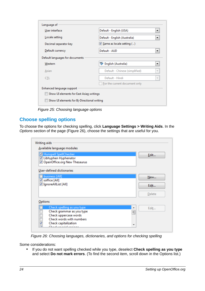| Language of                                 |                                            |                          |
|---------------------------------------------|--------------------------------------------|--------------------------|
| User interface                              | Default - English (USA)                    |                          |
| Locale setting                              | Default - English (Australia)              | ▼                        |
| Decimal separator key                       | $\triangledown$ Same as locale setting (.) |                          |
| Default currency                            | Default - AUD                              | ▼                        |
| Default languages for documents             |                                            |                          |
| Western                                     | <sup>48</sup> English (Australia)          | ▼                        |
| Asian                                       | Default - Chinese (simplified)             | $\overline{\phantom{a}}$ |
| CTL                                         | Default - Hindi                            | $\overline{\phantom{a}}$ |
|                                             | For the current document only              |                          |
| Enhanced language support                   |                                            |                          |
| Show UI elements for East Asian writings    |                                            |                          |
| Show UI elements for Bi-Directional writing |                                            |                          |

<span id="page-23-1"></span>*Figure 25: Choosing language options*

# <span id="page-23-0"></span>**Choose spelling options**

To choose the options for checking spelling, click **Language Settings > Writing Aids**. In the *Options* section of the page [\(Figure 26\)](#page-23-2), choose the settings that are useful for you.

| Hunspell SpellChecker                                                                |           |
|--------------------------------------------------------------------------------------|-----------|
| V Libhyphen Hyphenator                                                               | Edit      |
| OpenOffice.org New Thesaurus                                                         |           |
| User-defined dictionaries                                                            |           |
| business [All]                                                                       | New       |
| <b>√</b> soffice [All]                                                               |           |
| <b>√</b> IgnoreAllList [All]                                                         | Edit      |
|                                                                                      |           |
|                                                                                      | Delete    |
| <b>Options</b>                                                                       |           |
| Check spelling as you type                                                           | ᆂ<br>Edit |
| Check grammar as you type                                                            | 틔         |
| Check uppercase words                                                                |           |
| Check words with numbers                                                             |           |
| $\frac{1}{\sqrt{2}}$<br>Check capitalization<br>Character and a start and at a start | ┯         |

<span id="page-23-2"></span>*Figure 26: Choosing languages, dictionaries, and options for checking spelling*

Some considerations:

• If you do not want spelling checked while you type, deselect **Check spelling as you type**  and select **Do not mark errors**. (To find the second item, scroll down in the Options list.)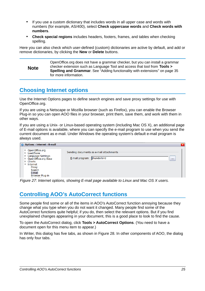- If you use a custom dictionary that includes words in all upper case and words with numbers (for example, AS/400), select **Check uppercase words** and **Check words with numbers**.
- **Check special regions** includes headers, footers, frames, and tables when checking spelling.

Here you can also check which user-defined (custom) dictionaries are active by default, and add or remove dictionaries, by clicking the **New** or **Delete** buttons.

**Note** OpenOffice.org does not have a grammar checker, but you can install a grammar checker extension such as Language Tool and access that tool from **Tools > Spelling and Grammar**. See ["Adding functionality with extensions"](#page-34-4) on page [35](#page-34-4) for more information.

# <span id="page-24-1"></span>**Choosing Internet options**

Use the Internet Options pages to define search engines and save proxy settings for use with OpenOffice.org.

If you are using a Netscape or Mozilla browser (such as Firefox), you can enable the Browser Plug-in so you can open AOO files in your browser, print them, save them, and work with them in other ways.

If you are using a Unix- or Linux-based operating system (including Mac OS X), an additional page of E-mail options is available, where you can specify the e-mail program to use when you send the current document as e-mail. Under Windows the operating system's default e-mail program is always used.

| <b>S</b> Options - Internet - E-mail                                                                                                                                                                                                                                         | Ιx. |
|------------------------------------------------------------------------------------------------------------------------------------------------------------------------------------------------------------------------------------------------------------------------------|-----|
| ▷ OpenOffice.org<br>Sending documents as e-mail attachments<br>▷ Load/Save<br>Language Settings<br>Þ<br>E-mail program thunderbird<br>▷ OpenOffice.org Base<br><br>▷ Charts<br>Internet<br>$\triangledown$<br><b>Proxy</b><br>Search<br>E-mail<br><b>Browser Plug-in</b><br> |     |

*Figure 27: Internet options, showing E-mail page available to Linux and Mac OS X users.*

# <span id="page-24-0"></span>**Controlling AOO's AutoCorrect functions**

Some people find some or all of the items in AOO's AutoCorrect function annoying because they change what you type when you do not want it changed. Many people find some of the AutoCorrect functions quite helpful; if you do, then select the relevant options. But if you find unexplained changes appearing in your document, this is a good place to look to find the cause.

To open the AutoCorrect dialog, click **Tools > AutoCorrect Options**. (You need to have a document open for this menu item to appear.)

In Writer, this dialog has five tabs, as shown in [Figure 28.](#page-25-2) In other components of AOO, the dialog has only four tabs.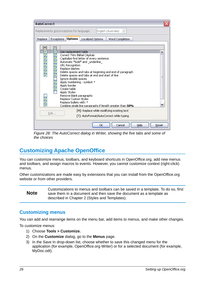| <b>AutoCorrect</b>                                                                                                                                                                                                                                                                                                                                                                                                                                                                                                                                                    |       |
|-----------------------------------------------------------------------------------------------------------------------------------------------------------------------------------------------------------------------------------------------------------------------------------------------------------------------------------------------------------------------------------------------------------------------------------------------------------------------------------------------------------------------------------------------------------------------|-------|
| English (Australia)<br>Replacements and exceptions for language:                                                                                                                                                                                                                                                                                                                                                                                                                                                                                                      |       |
| Options<br>Replace<br><b>Exceptions</b><br>Localized Options<br>Word Completion                                                                                                                                                                                                                                                                                                                                                                                                                                                                                       |       |
| [M]<br>[T]                                                                                                                                                                                                                                                                                                                                                                                                                                                                                                                                                            |       |
| V<br>Use replacement table<br>Correct TWo INitial CApitals<br>Capitalize first letter of every sentence<br><u>रारारार</u><br>Automatic *bold* and _underline_<br>URL Recognition<br>Replace dashes<br>Delete spaces and tabs at beginning and end of paragraph.<br>Delete spaces and tabs at end and start of line<br>Ignore double spaces<br>Apply numbering - symbol: *<br>Apply border<br>Create table<br>Apply Styles<br>Remove blank paragraphs<br>Replace Custom Styles<br>Replace bullets with: *<br>Combine single line paragraphs if length greater than 50% | ۸     |
| [M]: Replace while modifying existing text<br>Edit<br>[T]: AutoFormat/AutoCorrect while typing                                                                                                                                                                                                                                                                                                                                                                                                                                                                        |       |
| OK<br>Cancel<br>Help                                                                                                                                                                                                                                                                                                                                                                                                                                                                                                                                                  | Reset |

<span id="page-25-2"></span>*Figure 28: The AutoCorrect dialog in Writer, showing the five tabs and some of the choices*

# <span id="page-25-1"></span>**Customizing Apache OpenOffice**

You can customize menus, toolbars, and keyboard shortcuts in OpenOffice.org, add new menus and toolbars, and assign macros to events. However, you cannot customize context (right-click) menus.

Other customizations are made easy by extensions that you can install from the OpenOffice.org website or from other providers.

**Note** Customizations to menus and toolbars can be saved in a template. To do so, first save them in a document and then save the document as a template as described in Chapter 2 (Styles and Templates).

# <span id="page-25-0"></span>**Customizing menus**

You can add and rearrange items on the menu bar, add items to menus, and make other changes.

To customize menus:

- 1) Choose **Tools > Customize.**
- 2) On the **Customize** dialog, go to the **Menus** page.
- 3) In the Save In drop-down list, choose whether to save this changed menu for the application (for example, OpenOffice.org Writer) or for a selected document (for example, MyDoc.odt).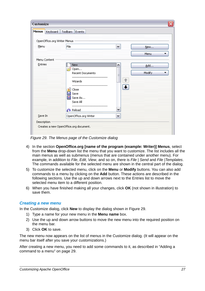| <b>Menus</b><br>Keyboard    | Toolbars Events                          |   |             |
|-----------------------------|------------------------------------------|---|-------------|
| OpenOffice.org Writer Menus |                                          |   |             |
| Menu                        | File                                     | ٧ | New         |
|                             |                                          |   | Menu        |
| Menu Content                |                                          |   |             |
| Entries                     | <b>New</b>                               | ∧ | Add         |
|                             | pn,,,<br><b>Recent Documents</b>         |   | Modify<br>▼ |
|                             | ---------------------------<br>Wizards   | ≣ |             |
|                             | -------------------------                |   |             |
|                             | Close<br>ψÎ<br>$\mathbb H$ Save          |   |             |
|                             | His Save As                              |   |             |
|                             | Save All                                 |   |             |
|                             | -----------------------<br><b>Reload</b> | ٧ |             |
| Save In                     | OpenOffice.org Writer                    | v |             |
| Description                 |                                          |   |             |

<span id="page-26-1"></span>*Figure 29. The Menus page of the Customize dialog*

- 4) In the section **OpenOffice.org [name of the program (example: Writer)] Menus**, select from the **Menu** drop-down list the menu that you want to customize. The list includes all the main menus as well as submenus (menus that are contained under another menu). For example, in addition to *File*, *Edit*, *View*, and so on, there is *File* | *Send* and *File* |*Templates*. The commands available for the selected menu are shown in the central part of the dialog.
- 5) To customize the selected menu, click on the **Menu** or **Modify** buttons. You can also add commands to a menu by clicking on the **Add** button. These actions are described in the following sections. Use the up and down arrows next to the Entries list to move the selected menu item to a different position.
- 6) When you have finished making all your changes, click **OK** (not shown in illustration) to save them.

# <span id="page-26-0"></span>*Creating a new menu*

In the Customize dialog, click **New** to display the dialog shown in [Figure 29.](#page-26-1)

- 1) Type a name for your new menu in the **Menu name** box.
- 2) Use the up and down arrow buttons to move the new menu into the required position on the menu bar.
- 3) Click **OK** to save.

The new menu now appears on the list of menus in the Customize dialog. (It will appear on the menu bar itself after you save your customizations.)

After creating a new menu, you need to add some commands to it, as described in ["Adding a](#page-28-2)  [command to a menu"](#page-28-2) on page [29.](#page-28-2)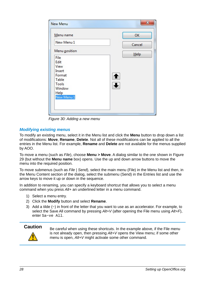| Menu name             | OK      |
|-----------------------|---------|
| New Menu 1            | Cancel  |
| Menu position         |         |
| File                  | $He$ lp |
| Edit                  |         |
| View                  |         |
| Insert                |         |
| Format                |         |
| Table                 |         |
| Tools                 | ┺       |
| Window                |         |
| Help                  |         |
| New Menu <sub>1</sub> |         |

<span id="page-27-1"></span>*Figure 30: Adding a new menu*

# <span id="page-27-0"></span>*Modifying existing menus*

To modify an existing menu, select it in the Menu list and click the **Menu** button to drop down a list of modifications: **Move**, **Rename**, **Delete**. Not all of these modifications can be applied to all the entries in the Menu list. For example, **Rename** and **Delete** are not available for the menus supplied by AOO.

To move a menu (such as *File*), choose **Menu > Move**. A dialog similar to the one shown in [Figure](#page-26-1)  [29](#page-26-1) (but without the **Menu name** box) opens. Use the up and down arrow buttons to move the menu into the required position.

To move submenus (such as *File | Send*), select the main menu (File) in the Menu list and then, in the Menu Content section of the dialog, select the submenu (Send) in the Entries list and use the arrow keys to move it up or down in the sequence.

In addition to renaming, you can specify a keyboard shortcut that allows you to select a menu command when you press *Alt*+ an underlined letter in a menu command.

- 1) Select a menu entry.
- 2) Click the **Modify** button and select **Rename**.
- 3) Add a tilde  $(\sim)$  in front of the letter that you want to use as an accelerator. For example, to select the Save All command by pressing *Alt+V* (after opening the File menu using *Alt+F*), enter Sa~ve All.



**Caution** Be careful when using these shortcuts. In the example above, if the File menu is not already open, then pressing *Alt+V* opens the View menu; if some other menu is open, *Alt+V* might activate some other command.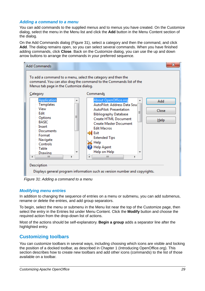# <span id="page-28-2"></span>*Adding a command to a menu*

You can add commands to the supplied menus and to menus you have created. On the Customize dialog, select the menu in the Menu list and click the **Add** button in the Menu Content section of the dialog.

On the Add Commands dialog [\(Figure 31\)](#page-28-3), select a category and then the command, and click **Add**. The dialog remains open, so you can select several commands. When you have finished adding commands, click **Close**. Back on the Customize dialog, you can use the up and down arrow buttons to arrange the commands in your preferred sequence.



<span id="page-28-3"></span>*Figure 31: Adding a command to a menu*

# <span id="page-28-1"></span>*Modifying menu entries*

In addition to changing the sequence of entries on a menu or submenu, you can add submenus, rename or delete the entries, and add group separators.

To begin, select the menu or submenu in the Menu list near the top of the Customize page, then select the entry in the Entries list under Menu Content. Click the **Modify** button and choose the required action from the drop-down list of actions.

Most of the actions should be self-explanatory. **Begin a group** adds a separator line after the highlighted entry.

# <span id="page-28-0"></span>**Customizing toolbars**

You can customize toolbars in several ways, including choosing which icons are visible and locking the position of a docked toolbar, as described in Chapter 1 (Introducing OpenOffice.org). This section describes how to create new toolbars and add other icons (commands) to the list of those available on a toolbar.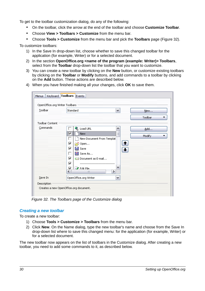To get to the toolbar customization dialog, do any of the following:

- On the toolbar, click the arrow at the end of the toolbar and choose **Customize Toolbar**.
- Choose **View > Toolbars > Customize** from the menu bar.
- Choose **Tools > Customize** from the menu bar and pick the **Toolbars** page [\(Figure 32\)](#page-29-1).

To customize toolbars:

- 1) In the Save In drop-down list, choose whether to save this changed toolbar for the application (for example, Writer) or for a selected document.
- 2) In the section **OpenOffice.org <name of the program (example: Writer)> Toolbars**, select from the **Toolbar** drop-down list the toolbar that you want to customize.
- 3) You can create a new toolbar by clicking on the **New** button, or customize existing toolbars by clicking on the **Toolbar** or **Modify** buttons, and add commands to a toolbar by clicking on the **Add** button. These actions are described below.
- 4) When you have finished making all your changes, click **OK** to save them.

| OpenOffice.org Writer Toolbars |                              |   |              |
|--------------------------------|------------------------------|---|--------------|
| Toolbar                        | Standard                     | ٧ | New          |
|                                |                              |   | Toolbar<br>▼ |
| <b>Toolbar Content</b>         |                              |   |              |
| Commands                       | <sup>4</sup> Load URL        | ㅅ | Add          |
|                                | ⊽<br><b>New</b>              | 亖 | Modify<br>▼  |
|                                | New Document From Templat    |   |              |
|                                | ⊽<br>pn,                     | Ŧ |              |
|                                | ⊽<br>$\mathbb H$ Save        |   |              |
|                                | 图 Save As<br>□               |   |              |
|                                | ⊽<br>±23 Document as E-mail  |   |              |
|                                | ⊽                            |   |              |
|                                | ⊽<br>$\Rightarrow$ Edit File | ٧ |              |
|                                | ≺<br>Ш                       | ٠ |              |
| Save In                        | OpenOffice.org Writer        | v |              |
| Description                    |                              |   |              |

<span id="page-29-1"></span>*Figure 32. The Toolbars page of the Customize dialog*

# <span id="page-29-0"></span>*Creating a new toolbar*

To create a new toolbar:

- 1) Choose **Tools > Customize > Toolbars** from the menu bar.
- 2) Click **New**. On the Name dialog, type the new toolbar's name and choose from the Save In drop-down list where to save this changed menu: for the application (for example, Writer) or for a selected document.

The new toolbar now appears on the list of toolbars in the Customize dialog. After creating a new toolbar, you need to add some commands to it, as described below.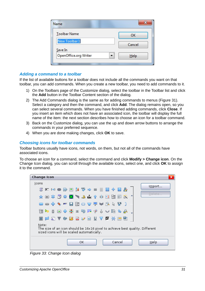| New Toolbar 1 | Cancel |
|---------------|--------|
|               |        |
| Save In       |        |

# <span id="page-30-1"></span>*Adding a command to a toolbar*

If the list of available buttons for a toolbar does not include all the commands you want on that toolbar, you can add commands. When you create a new toolbar, you need to add commands to it.

- 1) On the Toolbars page of the Customize dialog, select the toolbar in the Toolbar list and click the **Add** button in the Toolbar Content section of the dialog.
- 2) The Add Commands dialog is the same as for adding commands to menus [\(Figure 31\)](#page-28-3). Select a category and then the command, and click **Add**. The dialog remains open, so you can select several commands. When you have finished adding commands, click **Close**. If you insert an item which does not have an associated icon, the toolbar will display the full name of the item: the next section describes how to choose an icon for a toolbar command.
- 3) Back on the Customize dialog, you can use the up and down arrow buttons to arrange the commands in your preferred sequence.
- 4) When you are done making changes, click **OK** to save.

### <span id="page-30-0"></span>*Choosing icons for toolbar commands*

Toolbar buttons usually have icons, not words, on them, but not all of the commands have associated icons.

To choose an icon for a command, select the command and click **Modify > Change icon**. On the Change Icon dialog, you can scroll through the available icons, select one, and click **OK** to assign it to the command.

| <b>Change Icon</b>                                                                                                                 |  |  |  |  |                                |  |    |  |  |        |  |  |        |  |
|------------------------------------------------------------------------------------------------------------------------------------|--|--|--|--|--------------------------------|--|----|--|--|--------|--|--|--------|--|
| Icons                                                                                                                              |  |  |  |  |                                |  |    |  |  |        |  |  | Import |  |
|                                                                                                                                    |  |  |  |  | 5 四 2 ● 凤 田 3 梦 ⇒ ≡ 三 回 ◆ ■ 2  |  |    |  |  |        |  |  |        |  |
|                                                                                                                                    |  |  |  |  | ☆田本刀※×●山山市?非国民雨永               |  |    |  |  |        |  |  | Delete |  |
|                                                                                                                                    |  |  |  |  | <b>--⊹◆--⊞Bood∧c/&amp;</b> )   |  |    |  |  |        |  |  |        |  |
|                                                                                                                                    |  |  |  |  | ■☆ 8 © ◇ ※ ≡ の № ↑ ↑ ↓ ↓ 短 ☆ ☆ |  |    |  |  |        |  |  |        |  |
|                                                                                                                                    |  |  |  |  | 重声さ▼◆啓富≫西せ▽ア炎田園                |  |    |  |  |        |  |  |        |  |
| Note:<br>The size of an icon should be 16x16 pixel to achieve best quality. Different<br>sized icons will be scaled automatically. |  |  |  |  |                                |  |    |  |  |        |  |  |        |  |
|                                                                                                                                    |  |  |  |  |                                |  | ОΚ |  |  | Cancel |  |  | Help   |  |

<span id="page-30-2"></span>*Figure 33: Change Icon dialog*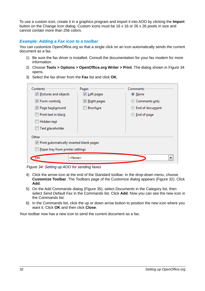To use a custom icon, create it in a graphics program and import it into AOO by clicking the **Import** button on the Change Icon dialog. Custom icons must be  $16 \times 16$  or  $26 \times 26$  pixels in size and cannot contain more than 256 colors.

# <span id="page-31-0"></span>*Example: Adding a Fax icon to a toolbar*

You can customize OpenOffice.org so that a single click on an icon automatically sends the current document as a fax.

- 1) Be sure the fax driver is installed. Consult the documentation for your fax modem for more information.
- 2) Choose **Tools > Options > OpenOffice.org Writer > Print**. The dialog shown in [Figure 34](#page-31-1) opens.
- 3) Select the fax driver from the **Fax** list and click **OK**.

| Contents<br>Dictures and objects                    | Pages<br>Left pages              | Comments<br>O None |  |  |  |  |  |  |  |
|-----------------------------------------------------|----------------------------------|--------------------|--|--|--|--|--|--|--|
| <b>V</b> Form controls                              | <b>Z</b> Right pages             | Comments only      |  |  |  |  |  |  |  |
| Page background                                     | <b>Brochure</b>                  | End of document    |  |  |  |  |  |  |  |
| Print text in black                                 |                                  | End of page        |  |  |  |  |  |  |  |
| Hidden text                                         |                                  |                    |  |  |  |  |  |  |  |
| Text placeholder                                    |                                  |                    |  |  |  |  |  |  |  |
| Other<br>V Print automatically inserted blank pages |                                  |                    |  |  |  |  |  |  |  |
|                                                     | Paper tray from printer settings |                    |  |  |  |  |  |  |  |
| <none><br/><b>T</b>-ax</none>                       |                                  |                    |  |  |  |  |  |  |  |

<span id="page-31-1"></span>*Figure 34: Setting up AOO for sending faxes*

- 4) Click the arrow icon at the end of the Standard toolbar. In the drop-down menu, choose **Customize Toolbar**. The Toolbars page of the Customize dialog appears [\(Figure 32\)](#page-29-1). Click **Add**.
- 5) On the Add Commands dialog [\(Figure 35\)](#page-32-1), select *Documents* in the Category list, then select *Send Default Fax* in the Commands list. Click **Add**. Now you can see the new icon in the Commands list.
- 6) In the Commands list, click the up or down arrow button to position the new icon where you want it. Click **OK** and then click **Close**.

Your toolbar now has a new icon to send the current document as a fax.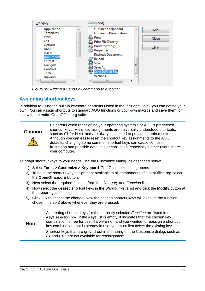

<span id="page-32-1"></span>*Figure 35: Adding a Send Fax command to a toolbar*

# <span id="page-32-0"></span>**Assigning shortcut keys**

In addition to using the built-in keyboard shortcuts (listed in the included Help), you can define your own. You can assign shortcuts to standard AOO functions or your own macros and save them for use with the entire OpenOffice.org suite.

# **Caution**



Be careful when reassigning your operating system's or AOO's predefined shortcut keys. Many key assignments are universally understood shortcuts, such as *F1* for Help, and are always expected to provide certain results. Although you can easily reset the shortcut key assignments to the AOO defaults, changing some common shortcut keys can cause confusion, frustration and possible data loss or corruption, especially if other users share your computer.

To adapt shortcut keys to your needs, use the Customize dialog, as described below.

- 1) Select **Tools > Customize > Keyboard**. The Customize dialog opens.
- 2) To have the shortcut key assignment available in all components of OpenOffice.org select the **OpenOffice.org** button.
- 3) Next select the required function from the *Category* and *Function* lists.
- 4) Now select the desired shortcut keys in the *Shortcut keys* list and click the **Modify** button at the upper right.
- 5) Click **OK** to accept the change. Now the chosen shortcut keys will execute the function chosen in step 3 above whenever they are pressed.

**Note** All existing shortcut keys for the currently selected *Function* are listed in the *Keys* selection box. If the *Keys* list is empty, it indicates that the chosen key combination is free for use. If it were not, and you wanted to reassign a shortcut key combination that is already in use, you must first delete the existing key. Shortcut keys that are greyed-out in the listing on the Customize dialog, such as *F1* and *F10,* are not available for reassignment.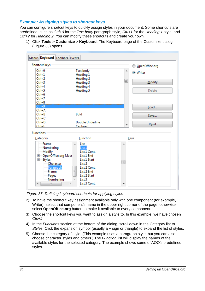# <span id="page-33-0"></span>*Example: Assigning styles to shortcut keys*

You can configure shortcut keys to quickly assign styles in your document. Some shortcuts are predefined, such as *Ctrl+0* for the *Text body* paragraph style, *Ctrl+1* for the *Heading 1* style, and *Ctrl+2* for *Heading 2*. You can modify these shortcuts and create your own.

1) Click **Tools > Customize > Keyboard**. The Keyboard page of the Customize dialog [\(Figure 33\)](#page-30-2) opens.



*Figure 36. Defining keyboard shortcuts for applying styles*

- 2) To have the shortcut key assignment available only with one component (for example, Writer), select that component's name in the upper right corner of the page; otherwise select **OpenOffice.org** button to make it available to every component.
- 3) Choose the shortcut keys you want to assign a style to. In this example, we have chosen *Ctrl+9*.
- 4) In the *Functions* section at the bottom of the dialog, scroll down in the Category list to *Styles*. Click the expansion symbol (usually a + sign or triangle) to expand the list of styles.
- 5) Choose the category of style. (This example uses a paragraph style, but you can also choose character styles and others.) The *Function* list will display the names of the available styles for the selected category. The example shows some of AOO's predefined styles.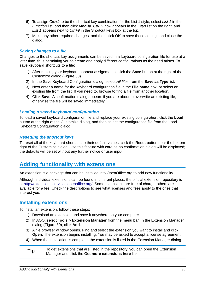- 6) To assign *Ctrl+9* to be the shortcut key combination for the List 1 style, select *List 1* in the *Function* list, and then click **Modify**. *Ctrl+9* now appears in the *Keys* list on the right, and *List 1* appears next to *Ctrl+9* in the Shortcut keys box at the top.
- 7) Make any other required changes, and then click **OK** to save these settings and close the dialog.

# <span id="page-34-2"></span>*Saving changes to a file*

Changes to the shortcut key assignments can be saved in a keyboard configuration file for use at a later time, thus permitting you to create and apply different configurations as the need arises. To save keyboard shortcuts to a file:

- 1) After making your keyboard shortcut assignments, click the **Save** button at the right of the Customize dialog [\(Figure 33\)](#page-30-2).
- 2) In the Save Keyboard Configuration dialog, select *All files* from the **Save as Type** list.
- 3) Next enter a name for the keyboard configuration file in the **File name** box, or select an existing file from the list. If you need to, browse to find a file from another location.
- 4) Click **Save**. A confirmation dialog appears if you are about to overwrite an existing file, otherwise the file will be saved immediately.

# <span id="page-34-1"></span>*Loading a saved keyboard configuration*

To load a saved keyboard configuration file and replace your existing configuration, click the **Load** button at the right of the Customize dialog, and then select the configuration file from the Load Keyboard Configuration dialog.

# <span id="page-34-0"></span>*Resetting the shortcut keys*

To reset all of the keyboard shortcuts to their default values, click the **Reset** button near the bottom right of the Customize dialog. Use this feature with care as no confirmation dialog will be displayed; the defaults will be set without any further notice or user input.

# <span id="page-34-4"></span>**Adding functionality with extensions**

An extension is a package that can be installed into OpenOffice.org to add new functionality.

Although individual extensions can be found in different places, the official extension repository is at [http://extensions.services.openoffice.org/.](http://extensions.services.openoffice.org/) Some extensions are free of charge; others are available for a fee. Check the descriptions to see what licenses and fees apply to the ones that interest you.

# <span id="page-34-3"></span>**Installing extensions**

To install an extension, follow these steps:

- 1) Download an extension and save it anywhere on your computer.
- 2) In AOO, select **Tools > Extension Manager** from the menu bar. In the Extension Manager dialog [\(Figure 30\)](#page-27-1), click **Add**.
- 3) A file browser window opens. Find and select the extension you want to install and click **Open**. The extension begins installing. You may be asked to accept a license agreement.
- 4) When the installation is complete, the extension is listed in the Extension Manager dialog.

**Tip** To get extensions that are listed in the repository, you can open the Extension Manager and click the **Get more extensions here** link.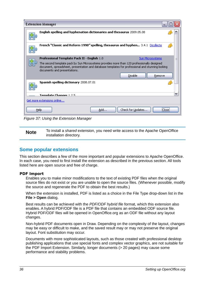|    | <b>Extension Manager</b>                                                                                                                                                                                                                                                                                                        |   |
|----|---------------------------------------------------------------------------------------------------------------------------------------------------------------------------------------------------------------------------------------------------------------------------------------------------------------------------------|---|
| ♧  | English spelling and hyphenation dictionaries and thesaurus 2009.05.08                                                                                                                                                                                                                                                          |   |
| ⊕. | French "Classic and Reform 1990" spelling, thesaurus and hyphen 3.4.1 Dicollecte                                                                                                                                                                                                                                                |   |
| 亞  | Professional Template Pack II - English 1.0<br><b>Sun Microsystems</b><br>The second template pack by Sun Microsystems provides more than 120 professionally designed.<br>document, spreadsheet, presentation and database templates for professional and stunning looking<br>documents and presentations.<br>Disable<br>Remove | ≣ |
|    | Spanish spelling dictionary 2008.07.01                                                                                                                                                                                                                                                                                          |   |
|    | <b>Template Changer 1.2.5</b>                                                                                                                                                                                                                                                                                                   | v |
|    | Get more extensions online                                                                                                                                                                                                                                                                                                      |   |
|    | <br>Add<br>Check for Updates<br>Help<br>i⊂lose:                                                                                                                                                                                                                                                                                 |   |

*Figure 37: Using the Extension Manager*

**Note** To install a *shared* extension, you need write access to the Apache OpenOffice installation directory.

# <span id="page-35-0"></span>**Some popular extensions**

This section describes a few of the more important and popular extensions to Apache OpenOffice. In each case, you need to first install the extension as described in the previous section. All tools listed here are open source and free of charge.

# **PDF Import**

Enables you to make minor modifications to the text of existing PDF files when the original source files do not exist or you are unable to open the source files. (Whenever possible, modify the source and regenerate the PDF to obtain the best results.)

When the extension is installed, PDF is listed as a choice in the File Type drop-down list in the **File > Open** dialog.

Best results can be achieved with the *PDF/ODF hybrid file* format, which this extension also enables. A hybrid PDF/ODF file is a PDF file that contains an embedded ODF source file. Hybrid PDF/ODF files will be opened in OpenOffice.org as an ODF file without any layout changes.

Non-hybrid PDF documents open in Draw. Depending on the complexity of the layout, changes may be easy or difficult to make, and the saved result may or may not preserve the original layout. Font substitution may occur.

Documents with more sophisticated layouts, such as those created with professional desktop publishing applications that use special fonts and complex vector graphics, are not suitable for the PDF Import Extension. Similarly, longer documents (> 20 pages) may cause some performance and stability problems.